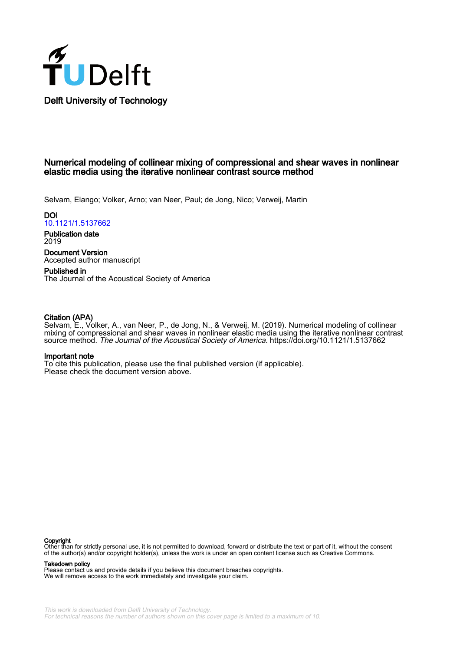

# Numerical modeling of collinear mixing of compressional and shear waves in nonlinear elastic media using the iterative nonlinear contrast source method

Selvam, Elango; Volker, Arno; van Neer, Paul; de Jong, Nico; Verweij, Martin

**DOI** [10.1121/1.5137662](https://doi.org/10.1121/1.5137662)

Publication date 2019

Document Version Accepted author manuscript

Published in The Journal of the Acoustical Society of America

## Citation (APA)

Selvam, E., Volker, A., van Neer, P., de Jong, N., & Verweij, M. (2019). Numerical modeling of collinear mixing of compressional and shear waves in nonlinear elastic media using the iterative nonlinear contrast source method. The Journal of the Acoustical Society of America.<https://doi.org/10.1121/1.5137662>

## Important note

To cite this publication, please use the final published version (if applicable). Please check the document version above.

#### Copyright

Other than for strictly personal use, it is not permitted to download, forward or distribute the text or part of it, without the consent of the author(s) and/or copyright holder(s), unless the work is under an open content license such as Creative Commons.

### Takedown policy

Please contact us and provide details if you believe this document breaches copyrights. We will remove access to the work immediately and investigate your claim.